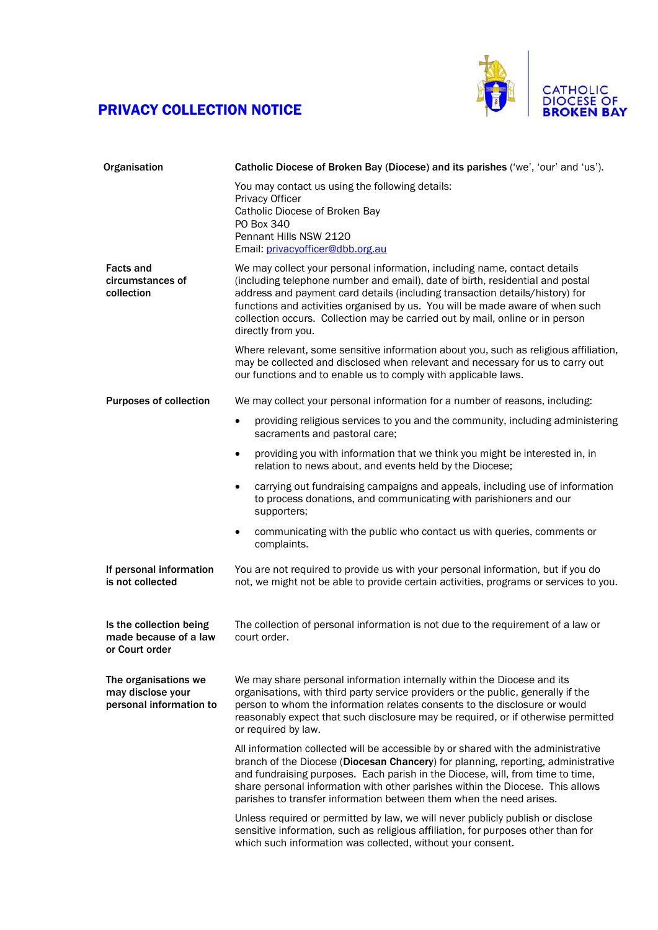## PRIVACY COLLECTION NOTICE



| Organisation                                                         | Catholic Diocese of Broken Bay (Diocese) and its parishes ('we', 'our' and 'us').                                                                                                                                                                                                                                                                                                                                                  |
|----------------------------------------------------------------------|------------------------------------------------------------------------------------------------------------------------------------------------------------------------------------------------------------------------------------------------------------------------------------------------------------------------------------------------------------------------------------------------------------------------------------|
|                                                                      | You may contact us using the following details:<br>Privacy Officer<br>Catholic Diocese of Broken Bay<br>PO Box 340<br>Pennant Hills NSW 2120                                                                                                                                                                                                                                                                                       |
|                                                                      | Email: privacyofficer@dbb.org.au                                                                                                                                                                                                                                                                                                                                                                                                   |
| <b>Facts and</b><br>circumstances of<br>collection                   | We may collect your personal information, including name, contact details<br>(including telephone number and email), date of birth, residential and postal<br>address and payment card details (including transaction details/history) for<br>functions and activities organised by us. You will be made aware of when such<br>collection occurs. Collection may be carried out by mail, online or in person<br>directly from you. |
|                                                                      | Where relevant, some sensitive information about you, such as religious affiliation,<br>may be collected and disclosed when relevant and necessary for us to carry out<br>our functions and to enable us to comply with applicable laws.                                                                                                                                                                                           |
| <b>Purposes of collection</b>                                        | We may collect your personal information for a number of reasons, including:                                                                                                                                                                                                                                                                                                                                                       |
|                                                                      | providing religious services to you and the community, including administering<br>$\bullet$<br>sacraments and pastoral care;                                                                                                                                                                                                                                                                                                       |
|                                                                      | providing you with information that we think you might be interested in, in<br>$\bullet$<br>relation to news about, and events held by the Diocese;                                                                                                                                                                                                                                                                                |
|                                                                      | carrying out fundraising campaigns and appeals, including use of information<br>$\bullet$<br>to process donations, and communicating with parishioners and our<br>supporters;                                                                                                                                                                                                                                                      |
|                                                                      | communicating with the public who contact us with queries, comments or<br>$\bullet$<br>complaints.                                                                                                                                                                                                                                                                                                                                 |
| If personal information<br>is not collected                          | You are not required to provide us with your personal information, but if you do<br>not, we might not be able to provide certain activities, programs or services to you.                                                                                                                                                                                                                                                          |
| Is the collection being<br>made because of a law<br>or Court order   | The collection of personal information is not due to the requirement of a law or<br>court order.                                                                                                                                                                                                                                                                                                                                   |
| The organisations we<br>may disclose your<br>personal information to | We may share personal information internally within the Diocese and its<br>organisations, with third party service providers or the public, generally if the<br>person to whom the information relates consents to the disclosure or would<br>reasonably expect that such disclosure may be required, or if otherwise permitted<br>or required by law.                                                                             |
|                                                                      | All information collected will be accessible by or shared with the administrative<br>branch of the Diocese (Diocesan Chancery) for planning, reporting, administrative<br>and fundraising purposes. Each parish in the Diocese, will, from time to time,<br>share personal information with other parishes within the Diocese. This allows<br>parishes to transfer information between them when the need arises.                  |
|                                                                      | Unless required or permitted by law, we will never publicly publish or disclose<br>sensitive information, such as religious affiliation, for purposes other than for<br>which such information was collected, without your consent.                                                                                                                                                                                                |